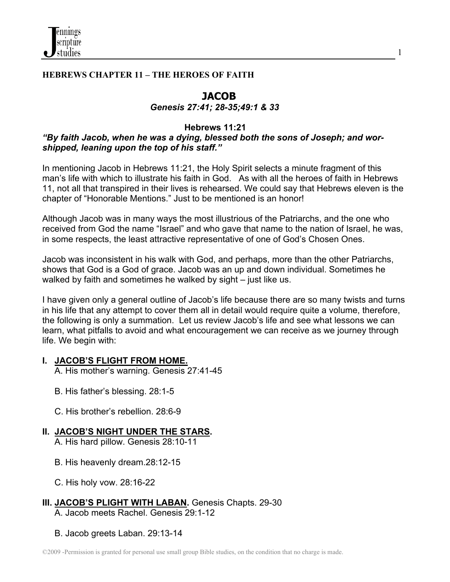# **HEBREWS CHAPTER 11 – THE HEROES OF FAITH**

# **JACOB**

1

### *Genesis 27:41; 28-35;49:1 & 33*

## **Hebrews 11:21**

# *"By faith Jacob, when he was a dying, blessed both the sons of Joseph; and worshipped, leaning upon the top of his staff."*

In mentioning Jacob in Hebrews 11:21, the Holy Spirit selects a minute fragment of this man's life with which to illustrate his faith in God. As with all the heroes of faith in Hebrews 11, not all that transpired in their lives is rehearsed. We could say that Hebrews eleven is the chapter of "Honorable Mentions." Just to be mentioned is an honor!

Although Jacob was in many ways the most illustrious of the Patriarchs, and the one who received from God the name "Israel" and who gave that name to the nation of Israel, he was, in some respects, the least attractive representative of one of God's Chosen Ones.

Jacob was inconsistent in his walk with God, and perhaps, more than the other Patriarchs, shows that God is a God of grace. Jacob was an up and down individual. Sometimes he walked by faith and sometimes he walked by sight – just like us.

I have given only a general outline of Jacob's life because there are so many twists and turns in his life that any attempt to cover them all in detail would require quite a volume, therefore, the following is only a summation. Let us review Jacob's life and see what lessons we can learn, what pitfalls to avoid and what encouragement we can receive as we journey through life. We begin with:

## **I. JACOB'S FLIGHT FROM HOME.**

A. His mother's warning. Genesis 27:41-45

- B. His father's blessing. 28:1-5
- C. His brother's rebellion. 28:6-9

# **II. JACOB'S NIGHT UNDER THE STARS.**

A. His hard pillow. Genesis 28:10-11

- B. His heavenly dream.28:12-15
- C. His holy vow. 28:16-22

#### **III. JACOB'S PLIGHT WITH LABAN.** Genesis Chapts. 29-30 A. Jacob meets Rachel. Genesis 29:1-12

B. Jacob greets Laban. 29:13-14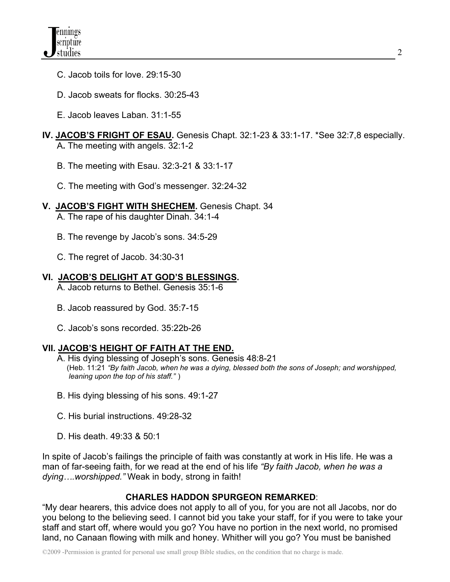- C. Jacob toils for love. 29:15-30
- D. Jacob sweats for flocks. 30:25-43
- E. Jacob leaves Laban. 31:1-55

## **IV. JACOB'S FRIGHT OF ESAU.** Genesis Chapt. 32:1-23 & 33:1-17. \*See 32:7,8 especially. A**.** The meeting with angels. 32:1-2

- B. The meeting with Esau. 32:3-21 & 33:1-17
- C. The meeting with God's messenger. 32:24-32
- **V. JACOB'S FIGHT WITH SHECHEM.** Genesis Chapt. 34 A. The rape of his daughter Dinah. 34:1-4
	- B. The revenge by Jacob's sons. 34:5-29
	- C. The regret of Jacob. 34:30-31
- **VI. JACOB'S DELIGHT AT GOD'S BLESSINGS.** A. Jacob returns to Bethel. Genesis 35:1-6
	- B. Jacob reassured by God. 35:7-15
	- C. Jacob's sons recorded. 35:22b-26

# **VII. JACOB'S HEIGHT OF FAITH AT THE END.**

- A. His dying blessing of Joseph's sons. Genesis 48:8-21 (Heb. 11:21 *"By faith Jacob, when he was a dying, blessed both the sons of Joseph; and worshipped, leaning upon the top of his staff."* )
- B. His dying blessing of his sons. 49:1-27
- C. His burial instructions. 49:28-32
- D. His death. 49:33 & 50:1

In spite of Jacob's failings the principle of faith was constantly at work in His life. He was a man of far-seeing faith, for we read at the end of his life *"By faith Jacob, when he was a dying….worshipped."* Weak in body, strong in faith!

# **CHARLES HADDON SPURGEON REMARKED**:

"My dear hearers, this advice does not apply to all of you, for you are not all Jacobs, nor do you belong to the believing seed. I cannot bid you take your staff, for if you were to take your staff and start off, where would you go? You have no portion in the next world, no promised land, no Canaan flowing with milk and honey. Whither will you go? You must be banished